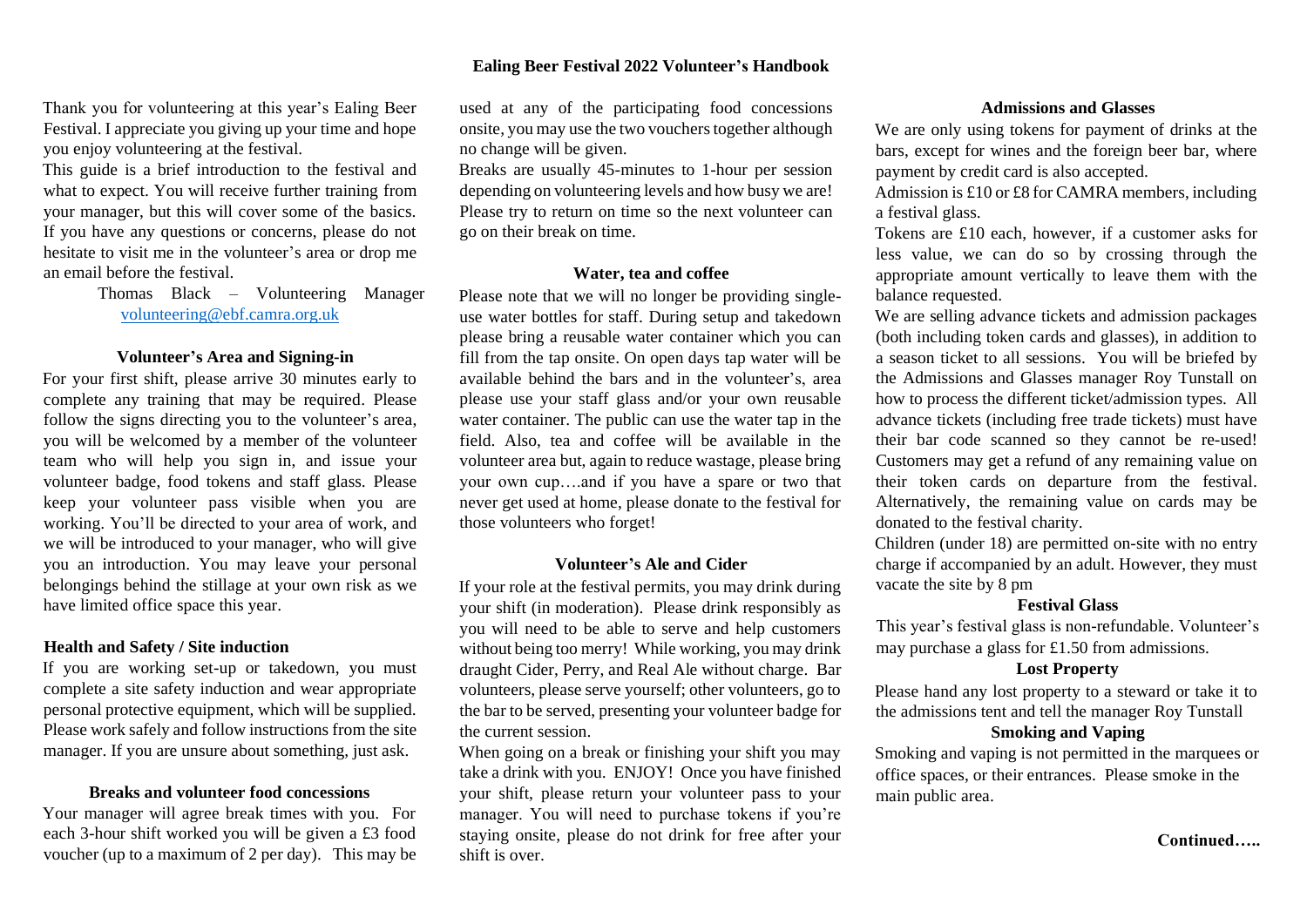## **Ealing Beer Festival 2022 Volunteer's Handbook**

Thank you for volunteering at this year's Ealing Beer Festival. I appreciate you giving up your time and hope you enjoy volunteering at the festival.

This guide is a brief introduction to the festival and what to expect. You will receive further training from your manager, but this will cover some of the basics. If you have any questions or concerns, please do not hesitate to visit me in the volunteer's area or drop me an email before the festival.

> Thomas Black – Volunteering Manager volunteering@ebf.camra.org.uk

### **Volunteer's Area and Signing-in**

For your first shift, please arrive 30 minutes early to complete any training that may be required. Please follow the signs directing you to the volunteer's area, you will be welcomed by a member of the volunteer team who will help you sign in, and issue your volunteer badge, food tokens and staff glass. Please keep your volunteer pass visible when you are working. You'll be directed to your area of work, and we will be introduced to your manager, who will give you an introduction. You may leave your personal belongings behind the stillage at your own risk as we have limited office space this year.

## **Health and Safety / Site induction**

If you are working set-up or takedown, you must complete a site safety induction and wear appropriate personal protective equipment, which will be supplied. Please work safely and follow instructions from the site manager. If you are unsure about something, just ask.

### **Breaks and volunteer food concessions**

Your manager will agree break times with you. For each 3-hour shift worked you will be given a £3 food voucher (up to a maximum of 2 per day). This may be used at any of the participating food concessions onsite, you may use the two vouchers together although no change will be given.

Breaks are usually 45-minutes to 1-hour per session depending on volunteering levels and how busy we are! Please try to return on time so the next volunteer can go on their break on time.

## **Water, tea and coffee**

Please note that we will no longer be providing singleuse water bottles for staff. During setup and takedown please bring a reusable water container which you can fill from the tap onsite. On open days tap water will be available behind the bars and in the volunteer's, area please use your staff glass and/or your own reusable water container. The public can use the water tap in the field. Also, tea and coffee will be available in the volunteer area but, again to reduce wastage, please bring your own cup….and if you have a spare or two that never get used at home, please donate to the festival for those volunteers who forget!

### **Volunteer's Ale and Cider**

If your role at the festival permits, you may drink during your shift (in moderation). Please drink responsibly as you will need to be able to serve and help customers without being too merry! While working, you may drink draught Cider, Perry, and Real Ale without charge. Bar volunteers, please serve yourself; other volunteers, go to the bar to be served, presenting your volunteer badge for the current session.

When going on a break or finishing your shift you may take a drink with you. ENJOY! Once you have finished your shift, please return your volunteer pass to your manager. You will need to purchase tokens if you're staying onsite, please do not drink for free after your shift is over.

## **Admissions and Glasses**

We are only using tokens for payment of drinks at the bars, except for wines and the foreign beer bar, where payment by credit card is also accepted.

Admission is £10 or £8 for CAMRA members, including a festival glass.

Tokens are £10 each, however, if a customer asks for less value, we can do so by crossing through the appropriate amount vertically to leave them with the balance requested.

We are selling advance tickets and admission packages (both including token cards and glasses), in addition to a season ticket to all sessions. You will be briefed by the Admissions and Glasses manager Roy Tunstall on how to process the different ticket/admission types. All advance tickets (including free trade tickets) must have their bar code scanned so they cannot be re-used! Customers may get a refund of any remaining value on their token cards on departure from the festival. Alternatively, the remaining value on cards may be donated to the festival charity.

Children (under 18) are permitted on-site with no entry charge if accompanied by an adult. However, they must vacate the site by 8 pm

## **Festival Glass**

This year's festival glass is non-refundable. Volunteer's may purchase a glass for £1.50 from admissions.

#### **Lost Property**

Please hand any lost property to a steward or take it to the admissions tent and tell the manager Roy Tunstall

## **Smoking and Vaping**

Smoking and vaping is not permitted in the marquees or office spaces, or their entrances. Please smoke in the main public area.

# **Continued…..**